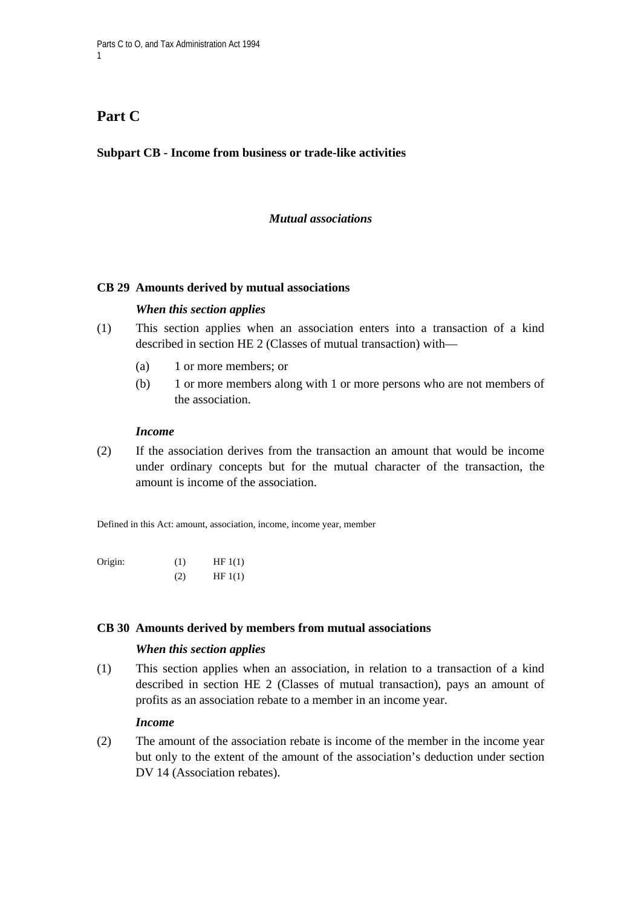# Part C

1

## **Subpart CB - Income from business or trade-like activities**

## *Mutual associations*

#### **CB 29 Amounts derived by mutual associations**

#### *When this section applies*

- (1) This section applies when an association enters into a transaction of a kind described in section HE 2 (Classes of mutual transaction) with—
	- (a) 1 or more members; or
	- (b) 1 or more members along with 1 or more persons who are not members of the association.

#### *Income*

(2) If the association derives from the transaction an amount that would be income under ordinary concepts but for the mutual character of the transaction, the amount is income of the association.

Defined in this Act: amount, association, income, income year, member

| Origin: | (1) | HF1(1) |
|---------|-----|--------|
|         | (2) | HF1(1) |

#### **CB 30 Amounts derived by members from mutual associations**

#### *When this section applies*

(1) This section applies when an association, in relation to a transaction of a kind described in section HE 2 (Classes of mutual transaction), pays an amount of profits as an association rebate to a member in an income year.

#### *Income*

(2) The amount of the association rebate is income of the member in the income year but only to the extent of the amount of the association's deduction under section DV 14 (Association rebates).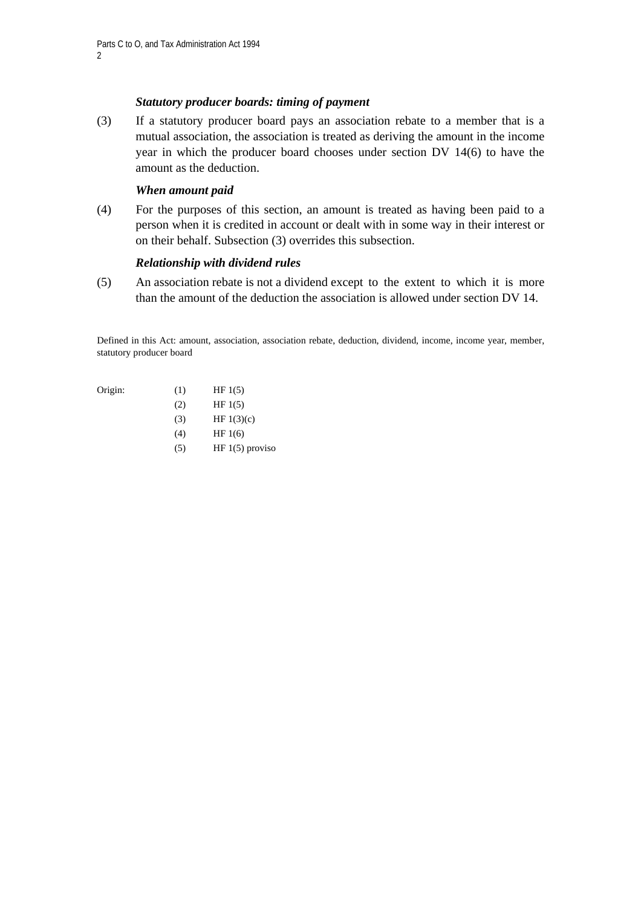## *Statutory producer boards: timing of payment*

(3) If a statutory producer board pays an association rebate to a member that is a mutual association, the association is treated as deriving the amount in the income year in which the producer board chooses under section DV 14(6) to have the amount as the deduction.

## *When amount paid*

(4) For the purposes of this section, an amount is treated as having been paid to a person when it is credited in account or dealt with in some way in their interest or on their behalf. Subsection (3) overrides this subsection.

## *Relationship with dividend rules*

(5) An association rebate is not a dividend except to the extent to which it is more than the amount of the deduction the association is allowed under section DV 14.

Defined in this Act: amount, association, association rebate, deduction, dividend, income, income year, member, statutory producer board

- Origin:  $(1)$  HF 1(5)
	- $(HF 1(5))$
	- (3) HF  $1(3)(c)$
	- (4) HF 1(6)
	- $(HF 1(5)$  proviso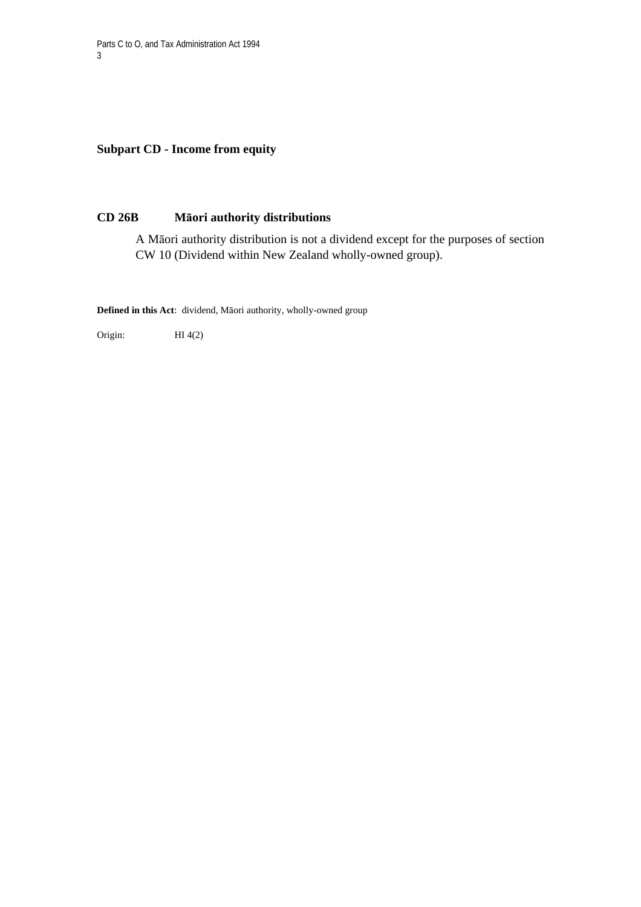**Subpart CD - Income from equity** 

## **CD 26B Māori authority distributions**

A Māori authority distribution is not a dividend except for the purposes of section CW 10 (Dividend within New Zealand wholly-owned group).

**Defined in this Act**: dividend, Māori authority, wholly-owned group

Origin: HI 4(2)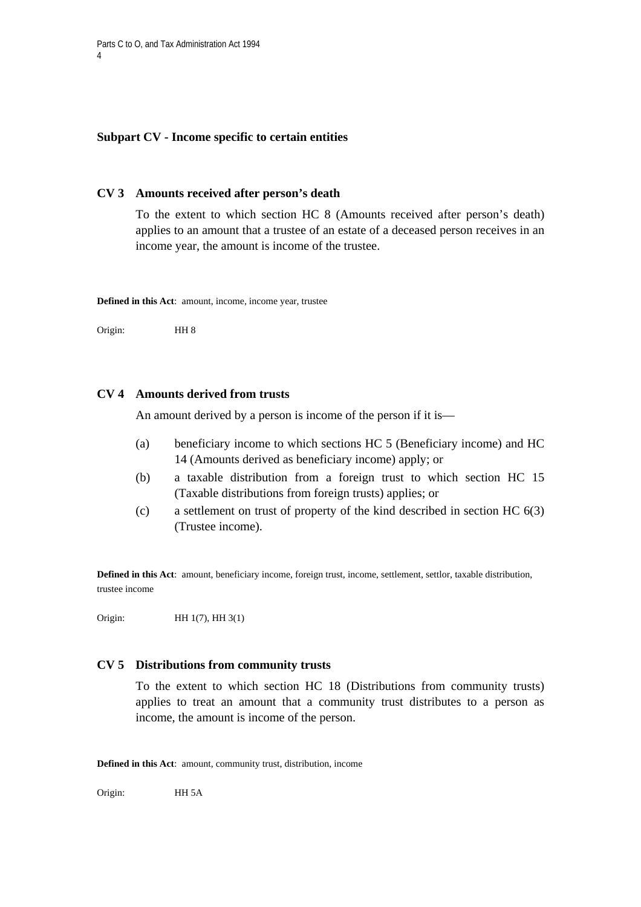## **Subpart CV - Income specific to certain entities**

#### **CV 3 Amounts received after person's death**

To the extent to which section HC 8 (Amounts received after person's death) applies to an amount that a trustee of an estate of a deceased person receives in an income year, the amount is income of the trustee.

**Defined in this Act**: amount, income, income year, trustee

Origin: HH 8

## **CV 4 Amounts derived from trusts**

An amount derived by a person is income of the person if it is—

- (a) beneficiary income to which sections HC 5 (Beneficiary income) and HC 14 (Amounts derived as beneficiary income) apply; or
- (b) a taxable distribution from a foreign trust to which section HC 15 (Taxable distributions from foreign trusts) applies; or
- (c) a settlement on trust of property of the kind described in section HC 6(3) (Trustee income).

**Defined in this Act**: amount, beneficiary income, foreign trust, income, settlement, settlor, taxable distribution, trustee income

Origin: **HH** 1(7), **HH** 3(1)

#### **CV 5 Distributions from community trusts**

To the extent to which section HC 18 (Distributions from community trusts) applies to treat an amount that a community trust distributes to a person as income, the amount is income of the person.

**Defined in this Act**: amount, community trust, distribution, income

Origin: HH 5A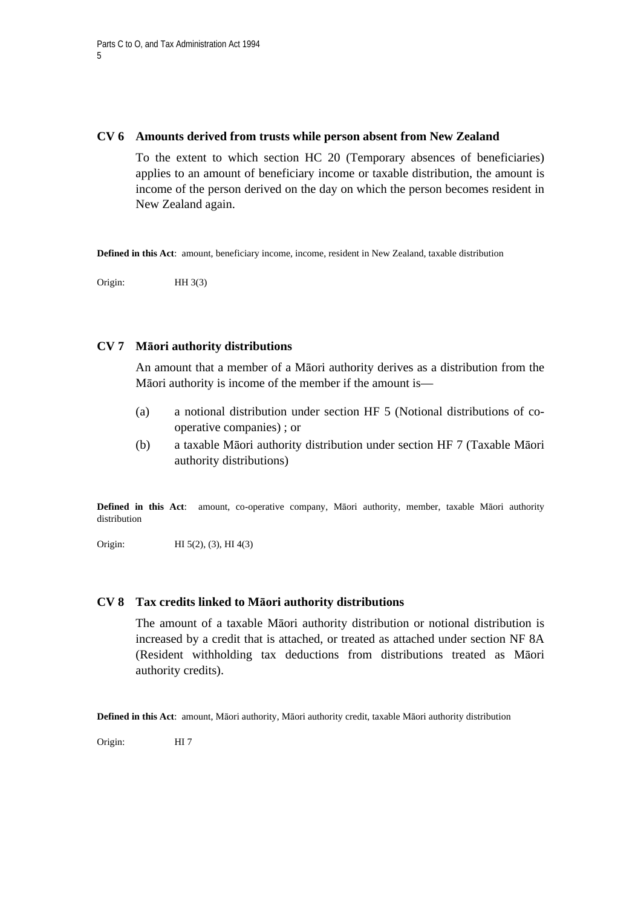#### **CV 6 Amounts derived from trusts while person absent from New Zealand**

To the extent to which section HC 20 (Temporary absences of beneficiaries) applies to an amount of beneficiary income or taxable distribution, the amount is income of the person derived on the day on which the person becomes resident in New Zealand again.

**Defined in this Act**: amount, beneficiary income, income, resident in New Zealand, taxable distribution

Origin: HH 3(3)

## **CV 7 Māori authority distributions**

An amount that a member of a Māori authority derives as a distribution from the Māori authority is income of the member if the amount is—

- (a) a notional distribution under section HF 5 (Notional distributions of cooperative companies) ; or
- (b) a taxable Māori authority distribution under section HF 7 (Taxable Māori authority distributions)

**Defined in this Act**: amount, co-operative company, Māori authority, member, taxable Māori authority distribution

Origin: **HI** 5(2), (3), **HI** 4(3)

#### **CV 8 Tax credits linked to Māori authority distributions**

The amount of a taxable Māori authority distribution or notional distribution is increased by a credit that is attached, or treated as attached under section NF 8A (Resident withholding tax deductions from distributions treated as Māori authority credits).

**Defined in this Act**: amount, Māori authority, Māori authority credit, taxable Māori authority distribution

Origin: HI 7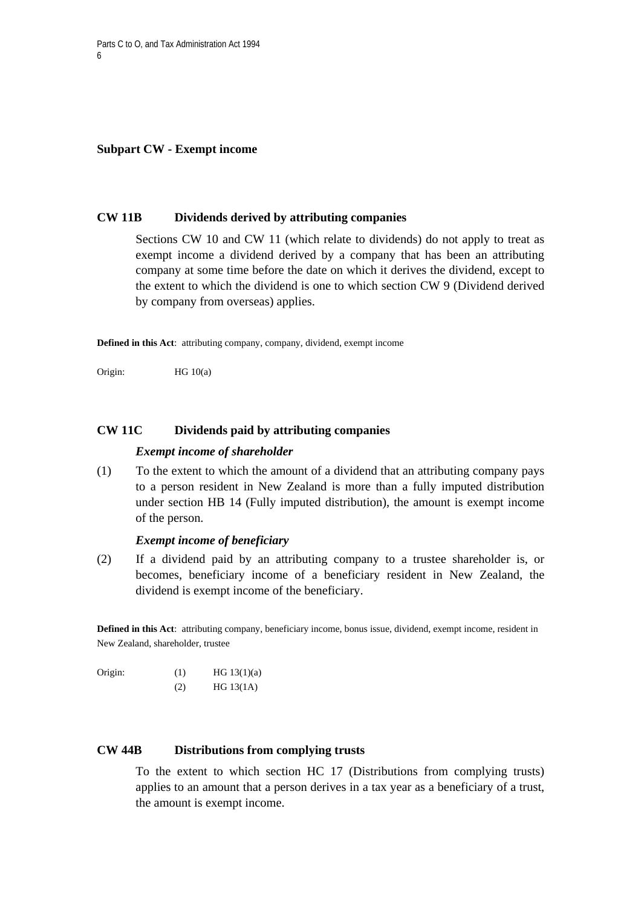#### **Subpart CW - Exempt income**

#### **CW 11B Dividends derived by attributing companies**

Sections CW 10 and CW 11 (which relate to dividends) do not apply to treat as exempt income a dividend derived by a company that has been an attributing company at some time before the date on which it derives the dividend, except to the extent to which the dividend is one to which section CW 9 (Dividend derived by company from overseas) applies.

**Defined in this Act**: attributing company, company, dividend, exempt income

Origin: HG 10(a)

## **CW 11C Dividends paid by attributing companies**

#### *Exempt income of shareholder*

(1) To the extent to which the amount of a dividend that an attributing company pays to a person resident in New Zealand is more than a fully imputed distribution under section HB 14 (Fully imputed distribution), the amount is exempt income of the person.

## *Exempt income of beneficiary*

(2) If a dividend paid by an attributing company to a trustee shareholder is, or becomes, beneficiary income of a beneficiary resident in New Zealand, the dividend is exempt income of the beneficiary.

**Defined in this Act**: attributing company, beneficiary income, bonus issue, dividend, exempt income, resident in New Zealand, shareholder, trustee

| Origin: | (1) | HG $13(1)(a)$ |
|---------|-----|---------------|
|         | (2) | HG $13(1A)$   |

#### **CW 44B Distributions from complying trusts**

To the extent to which section HC 17 (Distributions from complying trusts) applies to an amount that a person derives in a tax year as a beneficiary of a trust, the amount is exempt income.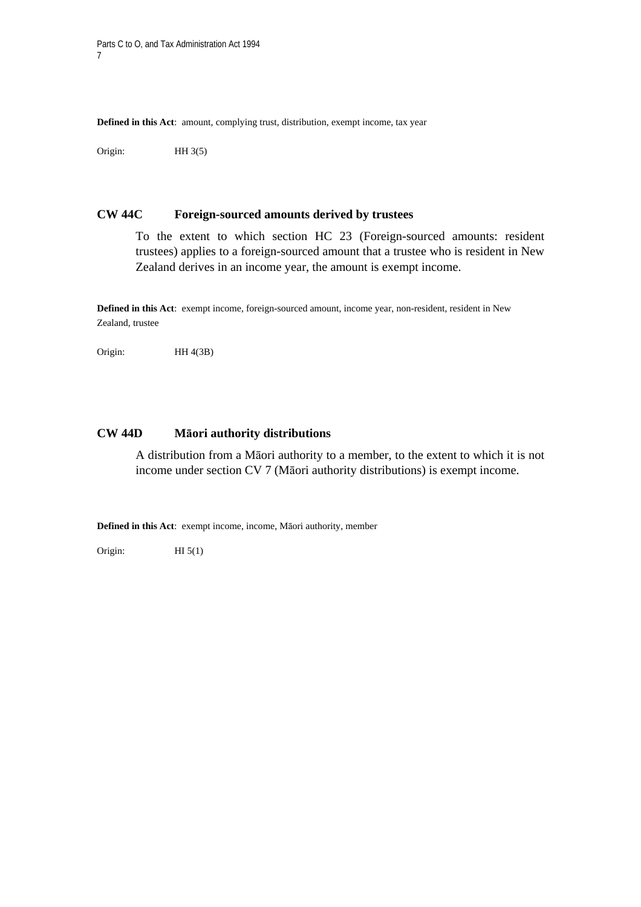**Defined in this Act**: amount, complying trust, distribution, exempt income, tax year

Origin: HH 3(5)

#### **CW 44C Foreign-sourced amounts derived by trustees**

To the extent to which section HC 23 (Foreign-sourced amounts: resident trustees) applies to a foreign-sourced amount that a trustee who is resident in New Zealand derives in an income year, the amount is exempt income.

**Defined in this Act**: exempt income, foreign-sourced amount, income year, non-resident, resident in New Zealand, trustee

Origin: HH 4(3B)

# **CW 44D Māori authority distributions**

A distribution from a Māori authority to a member, to the extent to which it is not income under section CV 7 (Māori authority distributions) is exempt income.

**Defined in this Act**: exempt income, income, Māori authority, member

Origin:  $HI 5(1)$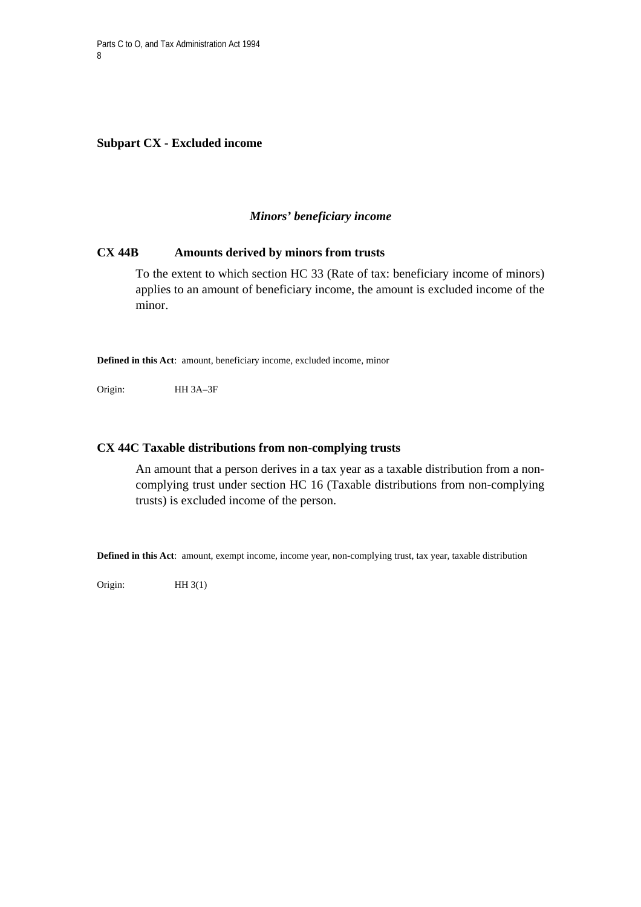**Subpart CX - Excluded income** 

#### *Minors' beneficiary income*

## **CX 44B Amounts derived by minors from trusts**

To the extent to which section HC 33 (Rate of tax: beneficiary income of minors) applies to an amount of beneficiary income, the amount is excluded income of the minor.

**Defined in this Act**: amount, beneficiary income, excluded income, minor

Origin: HH 3A–3F

#### **CX 44C Taxable distributions from non-complying trusts**

An amount that a person derives in a tax year as a taxable distribution from a noncomplying trust under section HC 16 (Taxable distributions from non-complying trusts) is excluded income of the person.

**Defined in this Act**: amount, exempt income, income year, non-complying trust, tax year, taxable distribution

Origin: HH 3(1)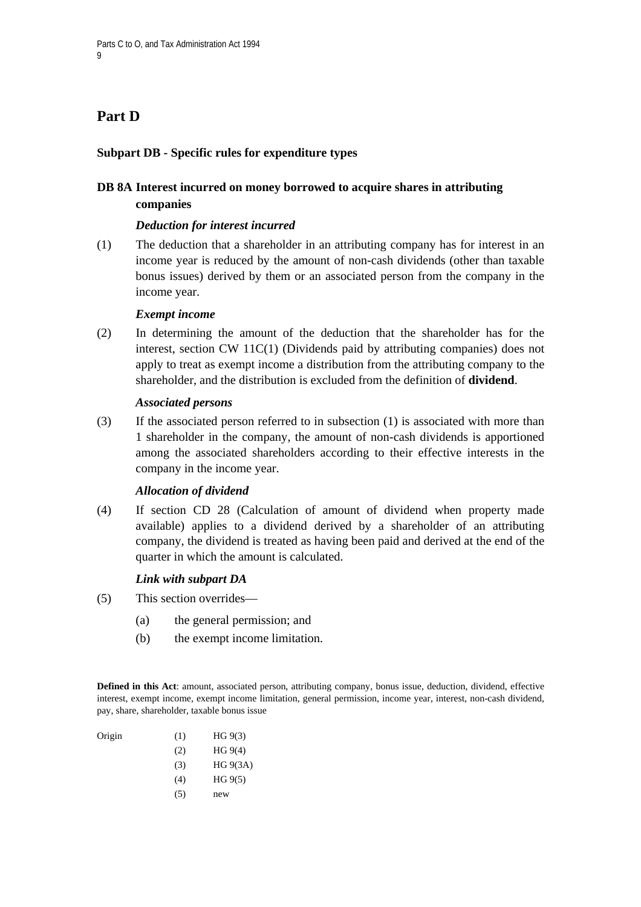# **Part D**

# **Subpart DB - Specific rules for expenditure types**

# **DB 8A Interest incurred on money borrowed to acquire shares in attributing companies**

## *Deduction for interest incurred*

(1) The deduction that a shareholder in an attributing company has for interest in an income year is reduced by the amount of non-cash dividends (other than taxable bonus issues) derived by them or an associated person from the company in the income year.

## *Exempt income*

(2) In determining the amount of the deduction that the shareholder has for the interest, section CW 11C(1) (Dividends paid by attributing companies) does not apply to treat as exempt income a distribution from the attributing company to the shareholder, and the distribution is excluded from the definition of **dividend**.

## *Associated persons*

(3) If the associated person referred to in subsection (1) is associated with more than 1 shareholder in the company, the amount of non-cash dividends is apportioned among the associated shareholders according to their effective interests in the company in the income year.

# *Allocation of dividend*

(4) If section CD 28 (Calculation of amount of dividend when property made available) applies to a dividend derived by a shareholder of an attributing company, the dividend is treated as having been paid and derived at the end of the quarter in which the amount is calculated.

# *Link with subpart DA*

- (5) This section overrides—
	- (a) the general permission; and
	- (b) the exempt income limitation.

**Defined in this Act**: amount, associated person, attributing company, bonus issue, deduction, dividend, effective interest, exempt income, exempt income limitation, general permission, income year, interest, non-cash dividend, pay, share, shareholder, taxable bonus issue

| Origin | (1) | HG 9(3)  |
|--------|-----|----------|
|        | (2) | HG 9(4)  |
|        | (3) | HG 9(3A) |
|        | (4) | HG 9(5)  |
|        | (5) | new      |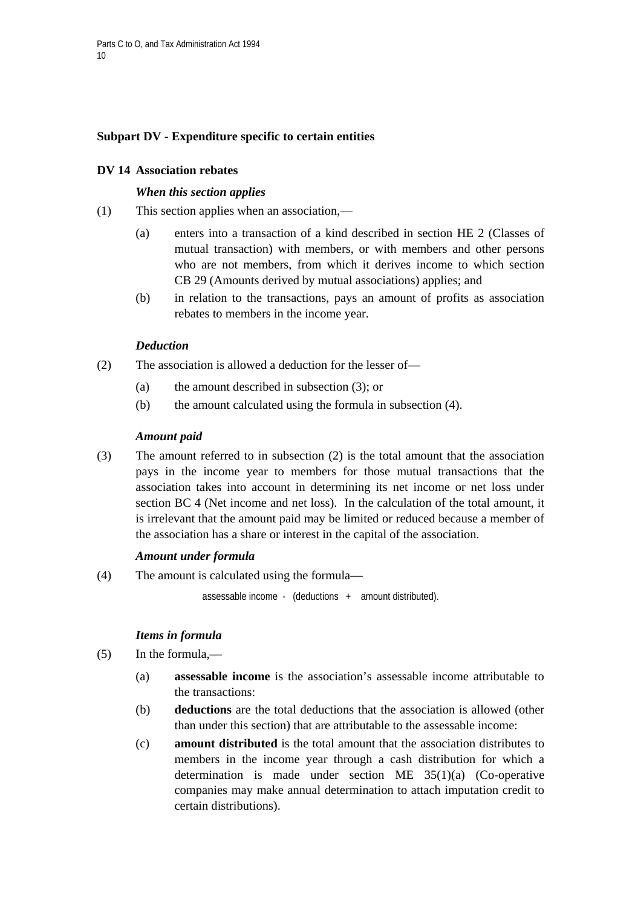# **Subpart DV - Expenditure specific to certain entities**

## **DV 14 Association rebates**

#### *When this section applies*

- (1) This section applies when an association,—
	- (a) enters into a transaction of a kind described in section HE 2 (Classes of mutual transaction) with members, or with members and other persons who are not members, from which it derives income to which section CB 29 (Amounts derived by mutual associations) applies; and
	- (b) in relation to the transactions, pays an amount of profits as association rebates to members in the income year.

## *Deduction*

- (2) The association is allowed a deduction for the lesser of—
	- (a) the amount described in subsection (3); or
	- (b) the amount calculated using the formula in subsection (4).

#### *Amount paid*

(3) The amount referred to in subsection (2) is the total amount that the association pays in the income year to members for those mutual transactions that the association takes into account in determining its net income or net loss under section BC 4 (Net income and net loss). In the calculation of the total amount, it is irrelevant that the amount paid may be limited or reduced because a member of the association has a share or interest in the capital of the association.

#### *Amount under formula*

(4) The amount is calculated using the formula—

assessable income - (deductions + amount distributed).

# *Items in formula*

- (5) In the formula,—
	- (a) **assessable income** is the association's assessable income attributable to the transactions:
	- (b) **deductions** are the total deductions that the association is allowed (other than under this section) that are attributable to the assessable income:
	- (c) **amount distributed** is the total amount that the association distributes to members in the income year through a cash distribution for which a determination is made under section ME 35(1)(a) (Co-operative companies may make annual determination to attach imputation credit to certain distributions).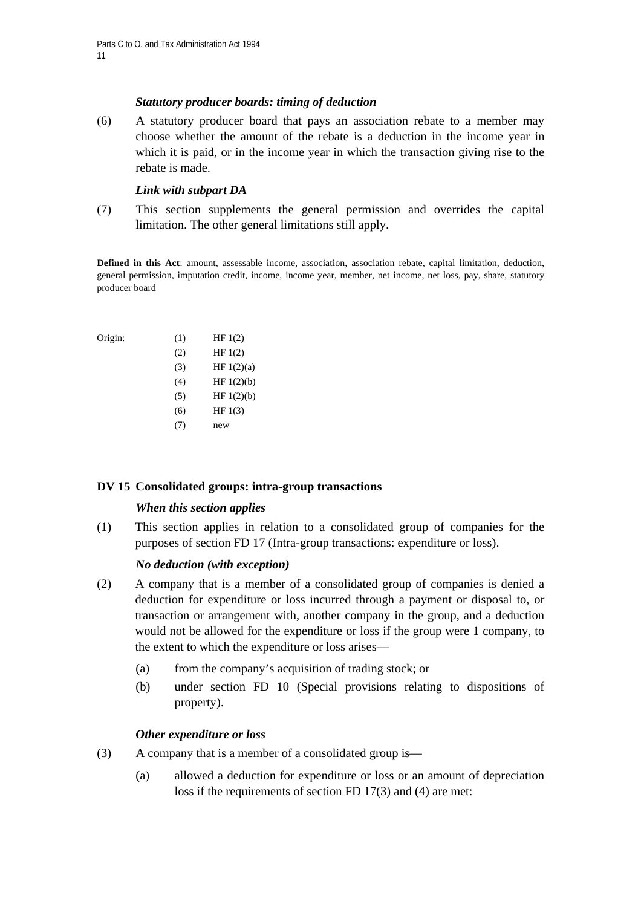# *Statutory producer boards: timing of deduction*

(6) A statutory producer board that pays an association rebate to a member may choose whether the amount of the rebate is a deduction in the income year in which it is paid, or in the income year in which the transaction giving rise to the rebate is made.

## *Link with subpart DA*

(7) This section supplements the general permission and overrides the capital limitation. The other general limitations still apply.

**Defined in this Act**: amount, assessable income, association, association rebate, capital limitation, deduction, general permission, imputation credit, income, income year, member, net income, net loss, pay, share, statutory producer board

| Origin: | (1)   | HF $1(2)$ |
|---------|-------|-----------|
|         | (2)   | HF $1(2)$ |
|         | (3)   | HF1(2)(a) |
|         | (4)   | HF1(2)(b) |
|         | (5)   | HF1(2)(b) |
|         | (6)   | HF $1(3)$ |
|         | ( / ) | new       |

# **DV 15 Consolidated groups: intra-group transactions**

# *When this section applies*

(1) This section applies in relation to a consolidated group of companies for the purposes of section FD 17 (Intra-group transactions: expenditure or loss).

# *No deduction (with exception)*

- (2) A company that is a member of a consolidated group of companies is denied a deduction for expenditure or loss incurred through a payment or disposal to, or transaction or arrangement with, another company in the group, and a deduction would not be allowed for the expenditure or loss if the group were 1 company, to the extent to which the expenditure or loss arises—
	- (a) from the company's acquisition of trading stock; or
	- (b) under section FD 10 (Special provisions relating to dispositions of property).

# *Other expenditure or loss*

- (3) A company that is a member of a consolidated group is—
	- (a) allowed a deduction for expenditure or loss or an amount of depreciation loss if the requirements of section FD 17(3) and (4) are met: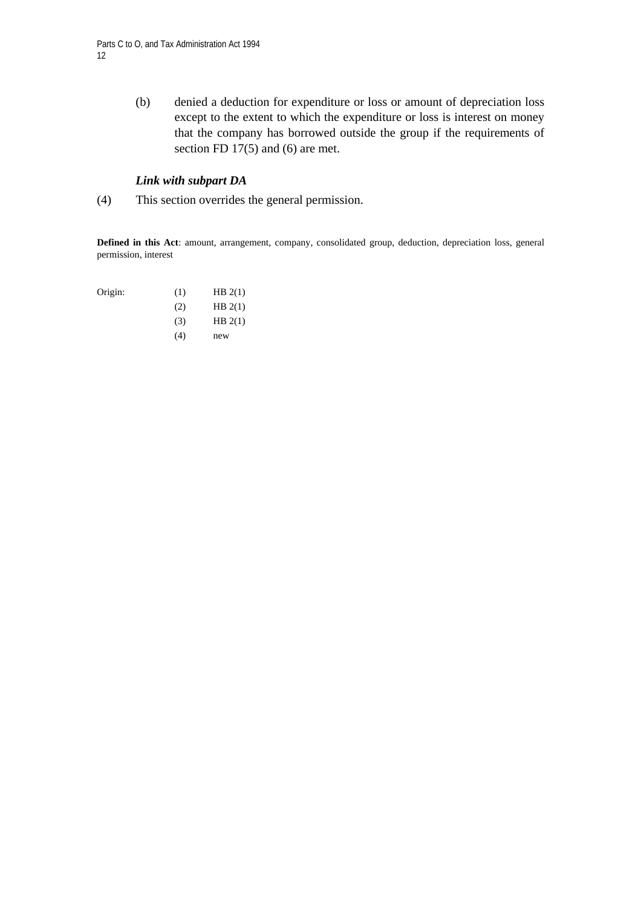(b) denied a deduction for expenditure or loss or amount of depreciation loss except to the extent to which the expenditure or loss is interest on money that the company has borrowed outside the group if the requirements of section FD 17(5) and (6) are met.

# *Link with subpart DA*

(4) This section overrides the general permission.

**Defined in this Act**: amount, arrangement, company, consolidated group, deduction, depreciation loss, general permission, interest

| Origin: | (1) | HB $2(1)$ |
|---------|-----|-----------|
|         | (2) | HB $2(1)$ |
|         | (3) | HB $2(1)$ |
|         | (4) | new       |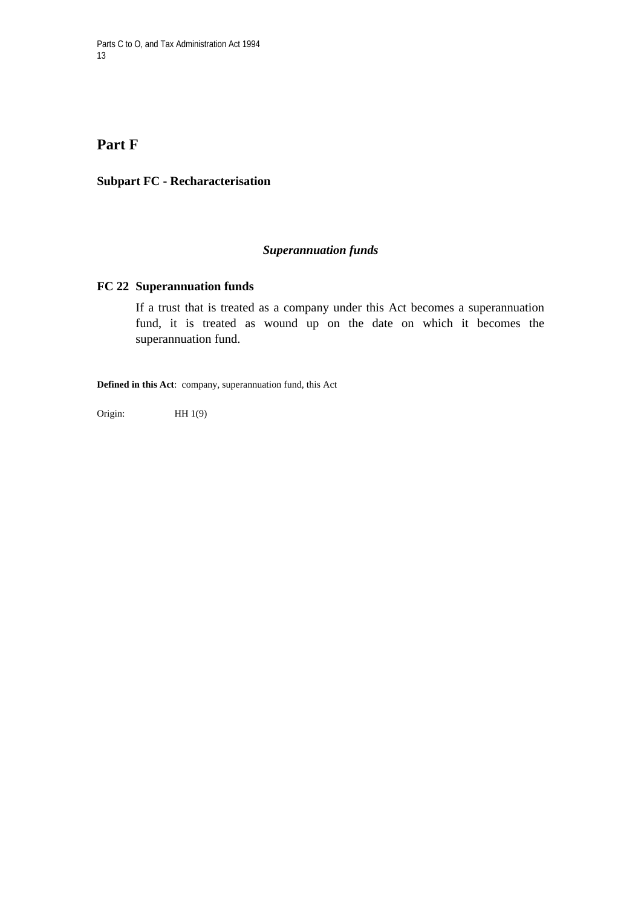# **Part F**

## **Subpart FC - Recharacterisation**

# *Superannuation funds*

## **FC 22 Superannuation funds**

If a trust that is treated as a company under this Act becomes a superannuation fund, it is treated as wound up on the date on which it becomes the superannuation fund.

**Defined in this Act**: company, superannuation fund, this Act

Origin: HH 1(9)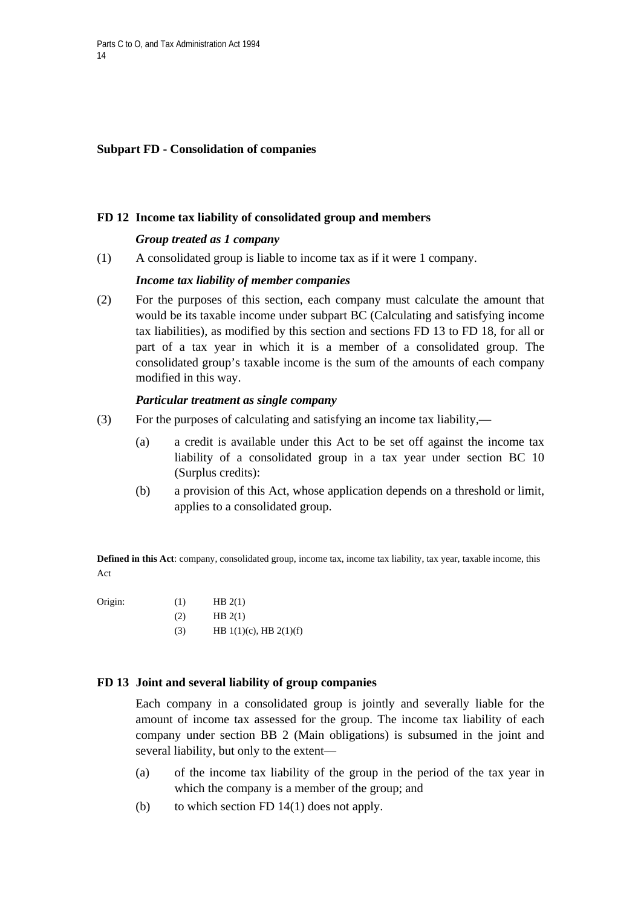# **Subpart FD - Consolidation of companies**

## **FD 12 Income tax liability of consolidated group and members**

## *Group treated as 1 company*

(1) A consolidated group is liable to income tax as if it were 1 company.

## *Income tax liability of member companies*

(2) For the purposes of this section, each company must calculate the amount that would be its taxable income under subpart BC (Calculating and satisfying income tax liabilities), as modified by this section and sections FD 13 to FD 18, for all or part of a tax year in which it is a member of a consolidated group. The consolidated group's taxable income is the sum of the amounts of each company modified in this way.

## *Particular treatment as single company*

- (3) For the purposes of calculating and satisfying an income tax liability,—
	- (a) a credit is available under this Act to be set off against the income tax liability of a consolidated group in a tax year under section BC 10 (Surplus credits):
	- (b) a provision of this Act, whose application depends on a threshold or limit, applies to a consolidated group.

**Defined in this Act**: company, consolidated group, income tax, income tax liability, tax year, taxable income, this Act

| møin |  |
|------|--|
|      |  |

| Origin: | (1) | HBZ(1)                      |
|---------|-----|-----------------------------|
|         | (2) | HB $2(1)$                   |
|         | (3) | HB $1(1)(c)$ , HB $2(1)(f)$ |

 $\alpha$  (1)  $\alpha$   $\alpha$   $\alpha$ 

#### **FD 13 Joint and several liability of group companies**

 Each company in a consolidated group is jointly and severally liable for the amount of income tax assessed for the group. The income tax liability of each company under section BB 2 (Main obligations) is subsumed in the joint and several liability, but only to the extent—

- (a) of the income tax liability of the group in the period of the tax year in which the company is a member of the group; and
- (b) to which section FD  $14(1)$  does not apply.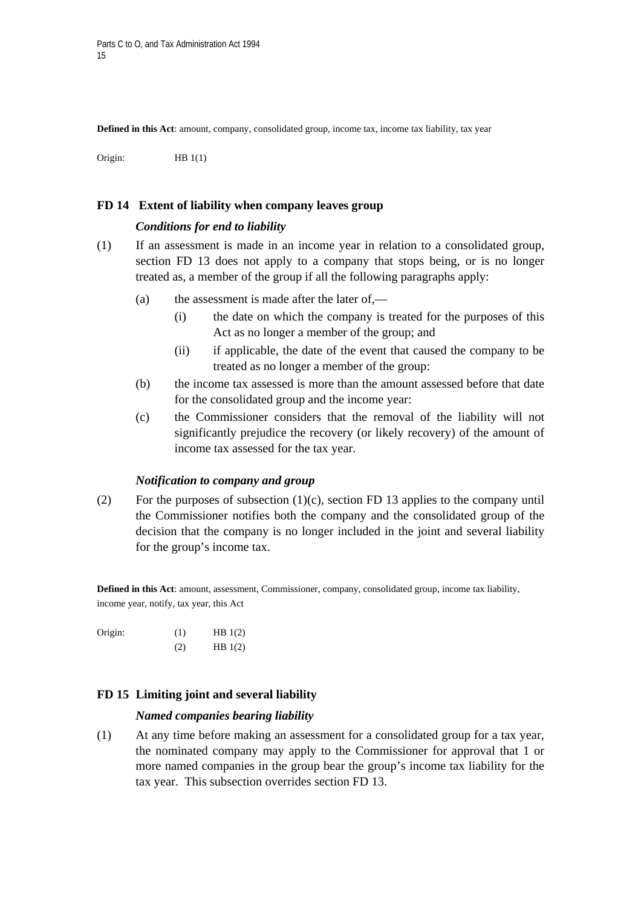**Defined in this Act**: amount, company, consolidated group, income tax, income tax liability, tax year

Origin: HB 1(1)

#### **FD 14 Extent of liability when company leaves group**

#### *Conditions for end to liability*

- (1) If an assessment is made in an income year in relation to a consolidated group, section FD 13 does not apply to a company that stops being, or is no longer treated as, a member of the group if all the following paragraphs apply:
	- (a) the assessment is made after the later of,—
		- (i) the date on which the company is treated for the purposes of this Act as no longer a member of the group; and
		- (ii) if applicable, the date of the event that caused the company to be treated as no longer a member of the group:
	- (b) the income tax assessed is more than the amount assessed before that date for the consolidated group and the income year:
	- (c) the Commissioner considers that the removal of the liability will not significantly prejudice the recovery (or likely recovery) of the amount of income tax assessed for the tax year.

#### *Notification to company and group*

(2) For the purposes of subsection (1)(c), section FD 13 applies to the company until the Commissioner notifies both the company and the consolidated group of the decision that the company is no longer included in the joint and several liability for the group's income tax.

**Defined in this Act**: amount, assessment, Commissioner, company, consolidated group, income tax liability, income year, notify, tax year, this Act

| Origin: | (1) | HB $1(2)$ |
|---------|-----|-----------|
|         | (2) | HB 1(2)   |

#### **FD 15 Limiting joint and several liability**

#### *Named companies bearing liability*

(1) At any time before making an assessment for a consolidated group for a tax year, the nominated company may apply to the Commissioner for approval that 1 or more named companies in the group bear the group's income tax liability for the tax year. This subsection overrides section FD 13.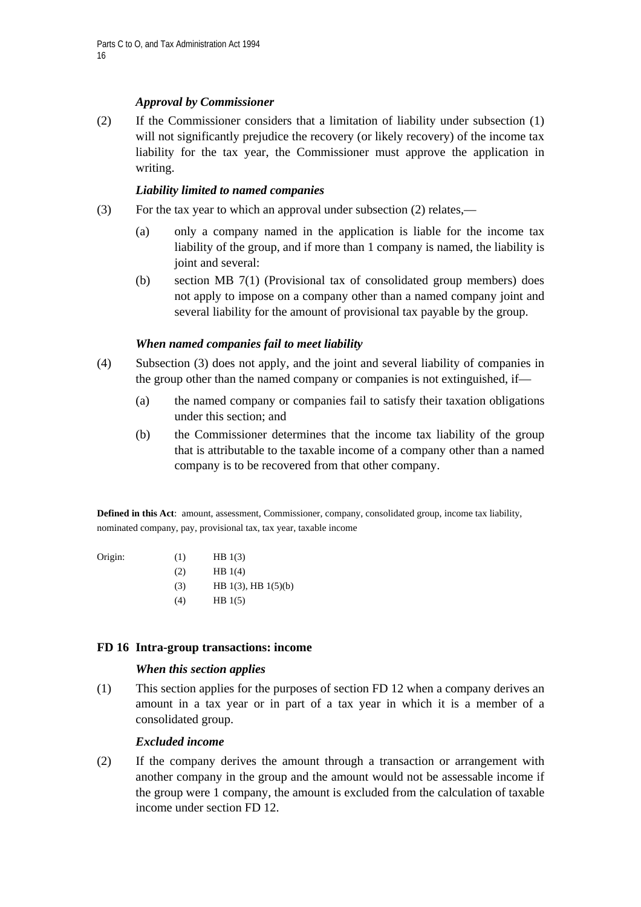# *Approval by Commissioner*

(2) If the Commissioner considers that a limitation of liability under subsection (1) will not significantly prejudice the recovery (or likely recovery) of the income tax liability for the tax year, the Commissioner must approve the application in writing.

# *Liability limited to named companies*

- (3) For the tax year to which an approval under subsection (2) relates,—
	- (a) only a company named in the application is liable for the income tax liability of the group, and if more than 1 company is named, the liability is joint and several:
	- (b) section MB 7(1) (Provisional tax of consolidated group members) does not apply to impose on a company other than a named company joint and several liability for the amount of provisional tax payable by the group.

# *When named companies fail to meet liability*

- (4) Subsection (3) does not apply, and the joint and several liability of companies in the group other than the named company or companies is not extinguished, if—
	- (a) the named company or companies fail to satisfy their taxation obligations under this section; and
	- (b) the Commissioner determines that the income tax liability of the group that is attributable to the taxable income of a company other than a named company is to be recovered from that other company.

**Defined in this Act**: amount, assessment, Commissioner, company, consolidated group, income tax liability, nominated company, pay, provisional tax, tax year, taxable income

| Origin: | (1) | HB $1(3)$ |
|---------|-----|-----------|
|         |     |           |

- $(HB 1(4))$
- $(HB 1(3), HB 1(5)(b))$
- $(H)$  HB 1(5)

# **FD 16 Intra-group transactions: income**

# *When this section applies*

(1) This section applies for the purposes of section FD 12 when a company derives an amount in a tax year or in part of a tax year in which it is a member of a consolidated group.

# *Excluded income*

(2) If the company derives the amount through a transaction or arrangement with another company in the group and the amount would not be assessable income if the group were 1 company, the amount is excluded from the calculation of taxable income under section FD 12.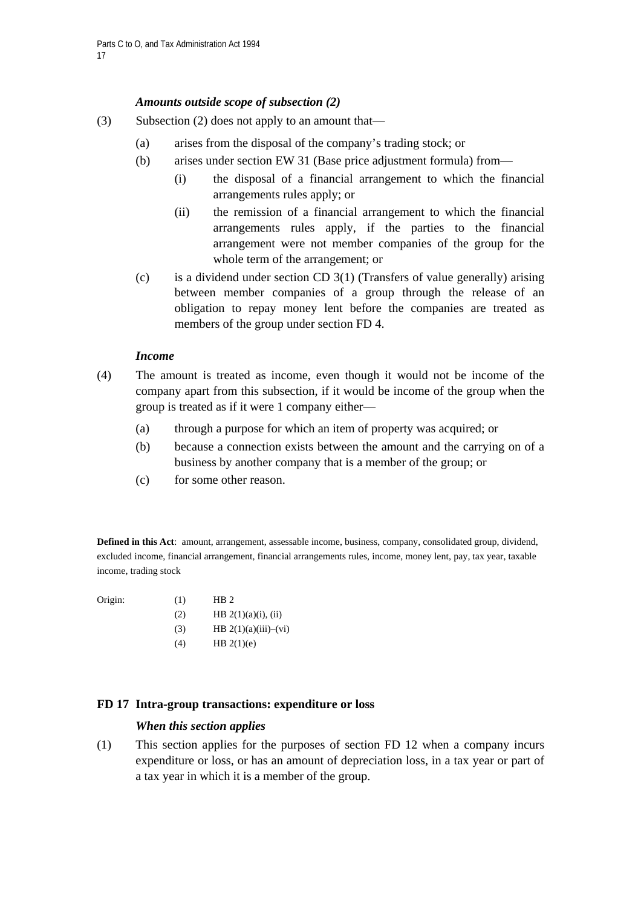# *Amounts outside scope of subsection (2)*

- (3) Subsection (2) does not apply to an amount that—
	- (a) arises from the disposal of the company's trading stock; or
	- (b) arises under section EW 31 (Base price adjustment formula) from—
		- (i) the disposal of a financial arrangement to which the financial arrangements rules apply; or
		- (ii) the remission of a financial arrangement to which the financial arrangements rules apply, if the parties to the financial arrangement were not member companies of the group for the whole term of the arrangement; or
	- (c) is a dividend under section CD 3(1) (Transfers of value generally) arising between member companies of a group through the release of an obligation to repay money lent before the companies are treated as members of the group under section FD 4.

# *Income*

- (4) The amount is treated as income, even though it would not be income of the company apart from this subsection, if it would be income of the group when the group is treated as if it were 1 company either—
	- (a) through a purpose for which an item of property was acquired; or
	- (b) because a connection exists between the amount and the carrying on of a business by another company that is a member of the group; or
	- (c) for some other reason.

**Defined in this Act**: amount, arrangement, assessable income, business, company, consolidated group, dividend, excluded income, financial arrangement, financial arrangements rules, income, money lent, pay, tax year, taxable income, trading stock

Origin:  $(1)$  HB 2

| UHE. | (1) | $\bf{11}$              |
|------|-----|------------------------|
|      | (2) | HB $2(1)(a)(i)$ , (ii) |

- (3) HB  $2(1)(a)(iii) (vi)$
- $(HB 2(1)(e))$

# **FD 17 Intra-group transactions: expenditure or loss**

# *When this section applies*

(1) This section applies for the purposes of section FD 12 when a company incurs expenditure or loss, or has an amount of depreciation loss, in a tax year or part of a tax year in which it is a member of the group.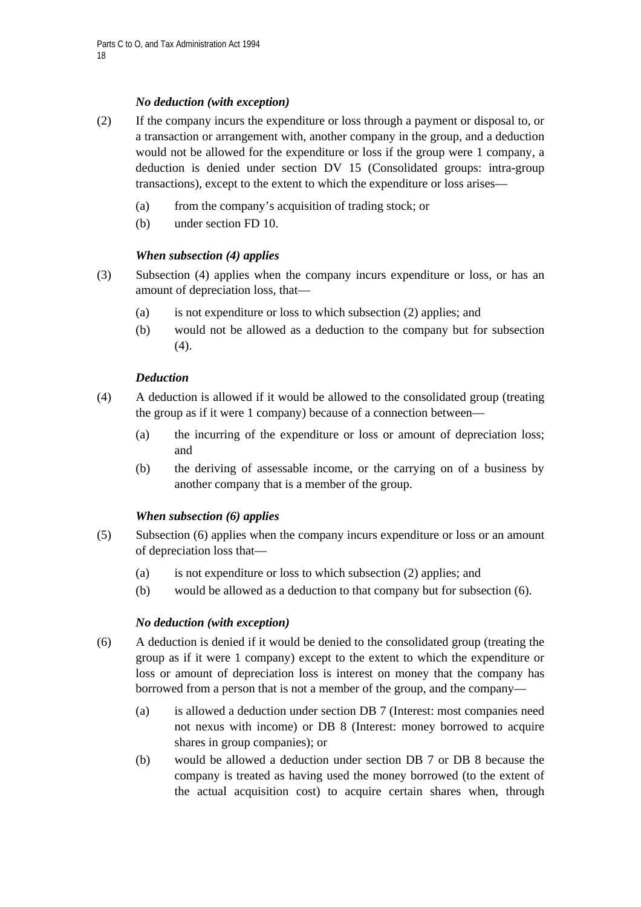# *No deduction (with exception)*

- (2) If the company incurs the expenditure or loss through a payment or disposal to, or a transaction or arrangement with, another company in the group, and a deduction would not be allowed for the expenditure or loss if the group were 1 company, a deduction is denied under section DV 15 (Consolidated groups: intra-group transactions), except to the extent to which the expenditure or loss arises—
	- (a) from the company's acquisition of trading stock; or
	- (b) under section FD 10.

# *When subsection (4) applies*

- (3) Subsection (4) applies when the company incurs expenditure or loss, or has an amount of depreciation loss, that—
	- (a) is not expenditure or loss to which subsection (2) applies; and
	- (b) would not be allowed as a deduction to the company but for subsection (4).

# *Deduction*

- (4) A deduction is allowed if it would be allowed to the consolidated group (treating the group as if it were 1 company) because of a connection between—
	- (a) the incurring of the expenditure or loss or amount of depreciation loss; and
	- (b) the deriving of assessable income, or the carrying on of a business by another company that is a member of the group.

# *When subsection (6) applies*

- (5) Subsection (6) applies when the company incurs expenditure or loss or an amount of depreciation loss that—
	- (a) is not expenditure or loss to which subsection (2) applies; and
	- (b) would be allowed as a deduction to that company but for subsection (6).

# *No deduction (with exception)*

- (6) A deduction is denied if it would be denied to the consolidated group (treating the group as if it were 1 company) except to the extent to which the expenditure or loss or amount of depreciation loss is interest on money that the company has borrowed from a person that is not a member of the group, and the company—
	- (a) is allowed a deduction under section DB 7 (Interest: most companies need not nexus with income) or DB 8 (Interest: money borrowed to acquire shares in group companies); or
	- (b) would be allowed a deduction under section DB 7 or DB 8 because the company is treated as having used the money borrowed (to the extent of the actual acquisition cost) to acquire certain shares when, through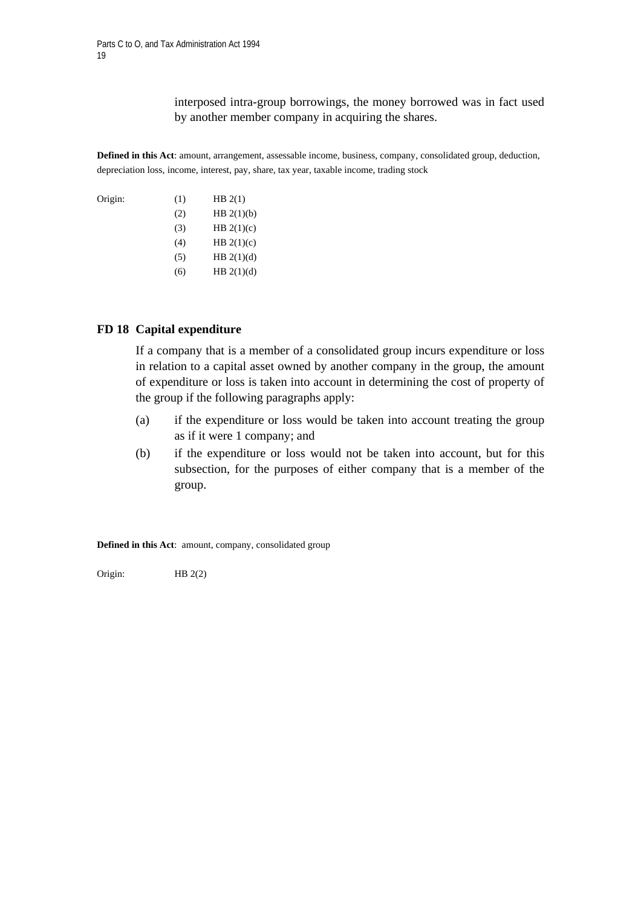interposed intra-group borrowings, the money borrowed was in fact used by another member company in acquiring the shares.

**Defined in this Act**: amount, arrangement, assessable income, business, company, consolidated group, deduction, depreciation loss, income, interest, pay, share, tax year, taxable income, trading stock

Origin:  $(1)$  HB 2(1)  $(HB 2(1)(b))$ (3) HB  $2(1)(c)$ (4) HB  $2(1)(c)$  $(HB 2(1)(d))$ (6) HB  $2(1)(d)$ 

## **FD 18 Capital expenditure**

 If a company that is a member of a consolidated group incurs expenditure or loss in relation to a capital asset owned by another company in the group, the amount of expenditure or loss is taken into account in determining the cost of property of the group if the following paragraphs apply:

- (a) if the expenditure or loss would be taken into account treating the group as if it were 1 company; and
- (b) if the expenditure or loss would not be taken into account, but for this subsection, for the purposes of either company that is a member of the group.

**Defined in this Act**: amount, company, consolidated group

Origin: HB 2(2)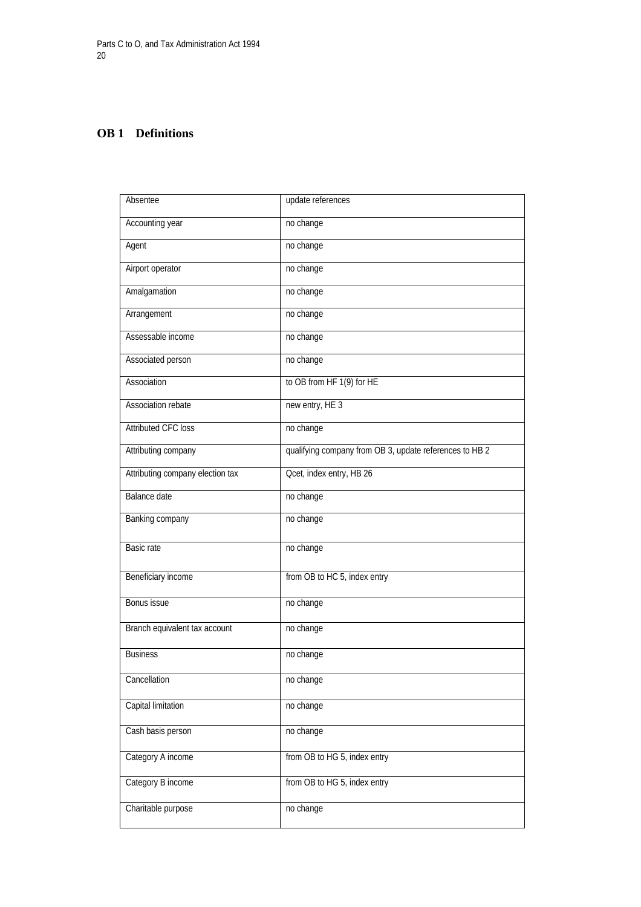# **OB 1 Definitions**

| Absentee                         | update references                                       |
|----------------------------------|---------------------------------------------------------|
| Accounting year                  | no change                                               |
| Agent                            | no change                                               |
| Airport operator                 | no change                                               |
| Amalgamation                     | no change                                               |
| Arrangement                      | no change                                               |
| Assessable income                | no change                                               |
| Associated person                | no change                                               |
| Association                      | to OB from HF 1(9) for HE                               |
| <b>Association rebate</b>        | new entry, HE 3                                         |
| <b>Attributed CFC loss</b>       | no change                                               |
| Attributing company              | qualifying company from OB 3, update references to HB 2 |
| Attributing company election tax | Ocet, index entry, HB 26                                |
| <b>Balance</b> date              | no change                                               |
| Banking company                  | no change                                               |
| Basic rate                       | no change                                               |
| Beneficiary income               | from OB to HC 5, index entry                            |
| Bonus issue                      | no change                                               |
| Branch equivalent tax account    | no change                                               |
| <b>Business</b>                  | no change                                               |
| Cancellation                     | no change                                               |
| Capital limitation               | no change                                               |
| Cash basis person                | no change                                               |
| Category A income                | from OB to HG 5, index entry                            |
| Category B income                | from OB to HG 5, index entry                            |
| Charitable purpose               | no change                                               |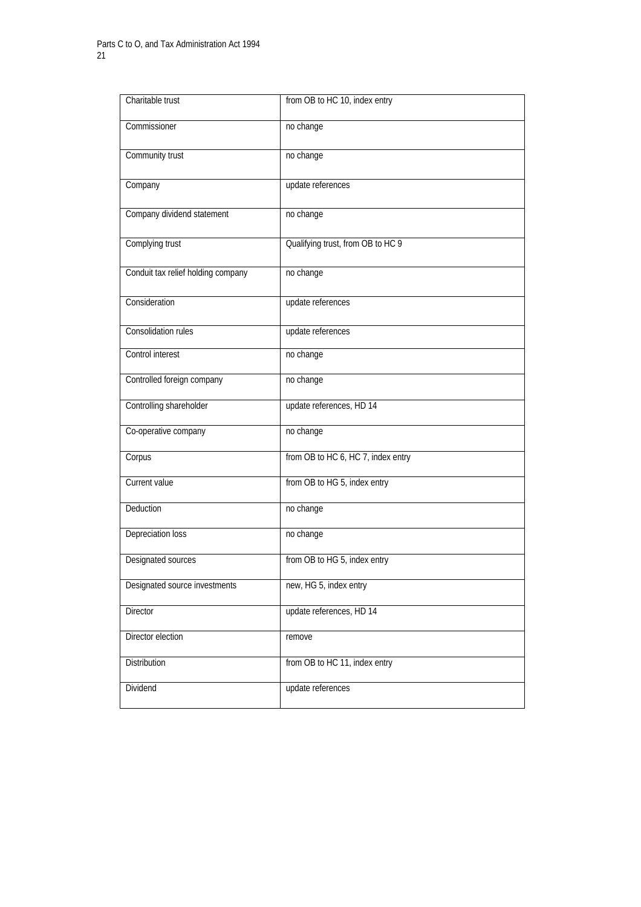| Charitable trust                   | from OB to HC 10, index entry      |
|------------------------------------|------------------------------------|
| Commissioner                       | no change                          |
| Community trust                    | no change                          |
| Company                            | update references                  |
| Company dividend statement         | no change                          |
| Complying trust                    | Qualifying trust, from OB to HC 9  |
| Conduit tax relief holding company | no change                          |
| Consideration                      | update references                  |
| <b>Consolidation rules</b>         | update references                  |
| Control interest                   | no change                          |
| Controlled foreign company         | no change                          |
| Controlling shareholder            | update references, HD 14           |
| Co-operative company               | no change                          |
| Corpus                             | from OB to HC 6, HC 7, index entry |
| Current value                      | from OB to HG 5, index entry       |
| Deduction                          | no change                          |
| Depreciation loss                  | no change                          |
| <b>Designated sources</b>          | from OB to HG 5, index entry       |
| Designated source investments      | new, HG 5, index entry             |
| Director                           | update references, HD 14           |
| Director election                  | remove                             |
| Distribution                       | from OB to HC 11, index entry      |
| Dividend                           | update references                  |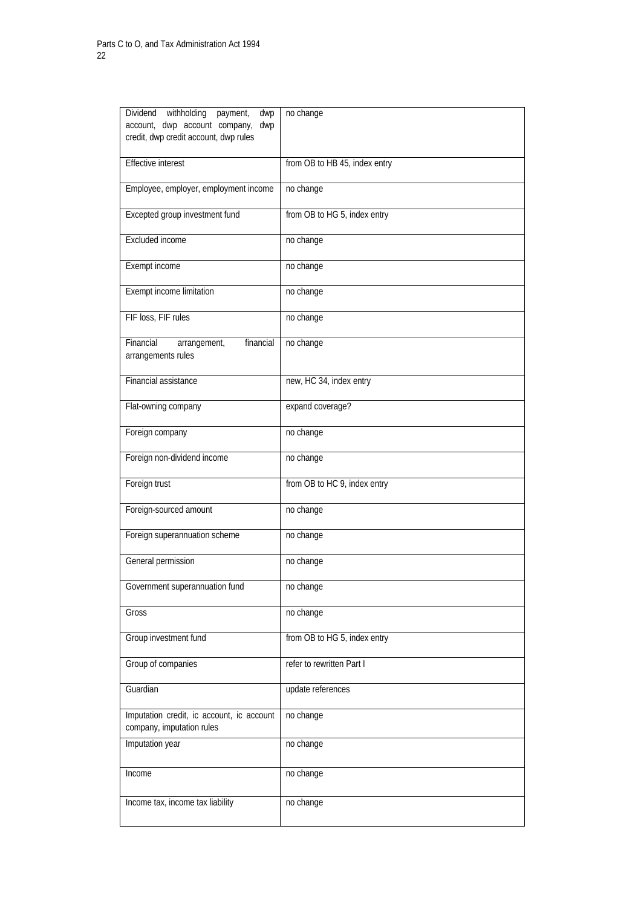| withholding<br>Dividend<br>payment,<br>dwp<br>account, dwp account company,<br>dwp<br>credit, dwp credit account, dwp rules | no change                     |
|-----------------------------------------------------------------------------------------------------------------------------|-------------------------------|
| <b>Effective interest</b>                                                                                                   | from OB to HB 45, index entry |
| Employee, employer, employment income                                                                                       | no change                     |
| Excepted group investment fund                                                                                              | from OB to HG 5, index entry  |
| Excluded income                                                                                                             | no change                     |
| Exempt income                                                                                                               | no change                     |
| <b>Exempt income limitation</b>                                                                                             | no change                     |
| FIF loss, FIF rules                                                                                                         | no change                     |
| Financial<br>financial<br>arrangement,<br>arrangements rules                                                                | no change                     |
| <b>Financial assistance</b>                                                                                                 | new, HC 34, index entry       |
| Flat-owning company                                                                                                         | expand coverage?              |
| Foreign company                                                                                                             | no change                     |
| Foreign non-dividend income                                                                                                 | no change                     |
| Foreign trust                                                                                                               | from OB to HC 9, index entry  |
| Foreign-sourced amount                                                                                                      | no change                     |
| Foreign superannuation scheme                                                                                               | no change                     |
| General permission                                                                                                          | no change                     |
| Government superannuation fund                                                                                              | no change                     |
| Gross                                                                                                                       | no change                     |
| Group investment fund                                                                                                       | from OB to HG 5, index entry  |
| Group of companies                                                                                                          | refer to rewritten Part I     |
| Guardian                                                                                                                    | update references             |
| Imputation credit, ic account, ic account<br>company, imputation rules                                                      | no change                     |
| Imputation year                                                                                                             | no change                     |
| Income                                                                                                                      | no change                     |
| Income tax, income tax liability                                                                                            | no change                     |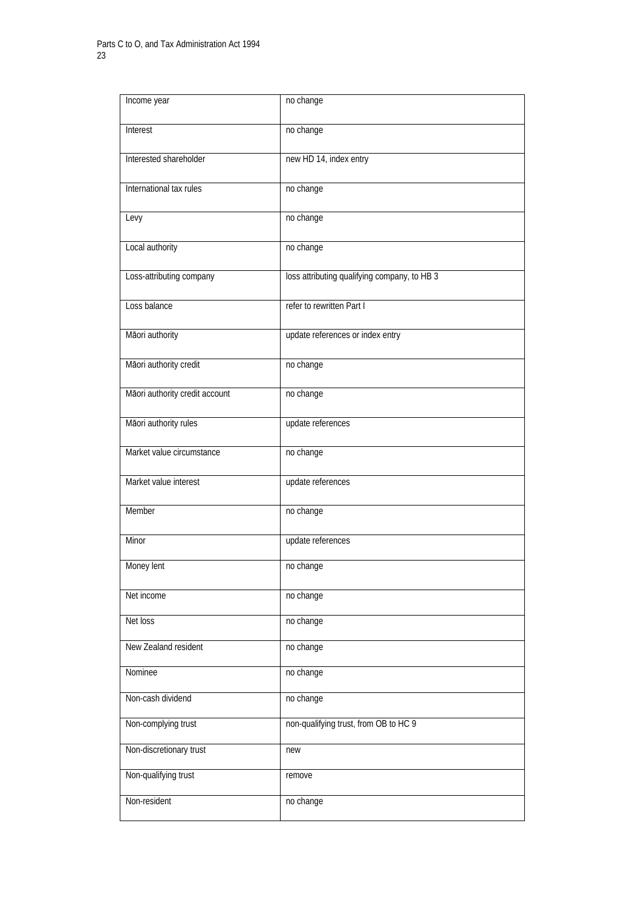| Income year                    | no change                                    |
|--------------------------------|----------------------------------------------|
| Interest                       | no change                                    |
| Interested shareholder         | new HD 14, index entry                       |
| International tax rules        | no change                                    |
| Levy                           | no change                                    |
| Local authority                | no change                                    |
| Loss-attributing company       | loss attributing qualifying company, to HB 3 |
| Loss balance                   | refer to rewritten Part I                    |
| Māori authority                | update references or index entry             |
| Māori authority credit         | no change                                    |
| Māori authority credit account | no change                                    |
| Māori authority rules          | update references                            |
| Market value circumstance      | no change                                    |
| Market value interest          | update references                            |
| Member                         | no change                                    |
| Minor                          | update references                            |
| Money lent                     | no change                                    |
| Net income                     | no change                                    |
| Net loss                       | no change                                    |
| New Zealand resident           | no change                                    |
| Nominee                        | no change                                    |
| Non-cash dividend              | no change                                    |
| Non-complying trust            | non-qualifying trust, from OB to HC 9        |
| Non-discretionary trust        | new                                          |
| Non-qualifying trust           | remove                                       |
| Non-resident                   | no change                                    |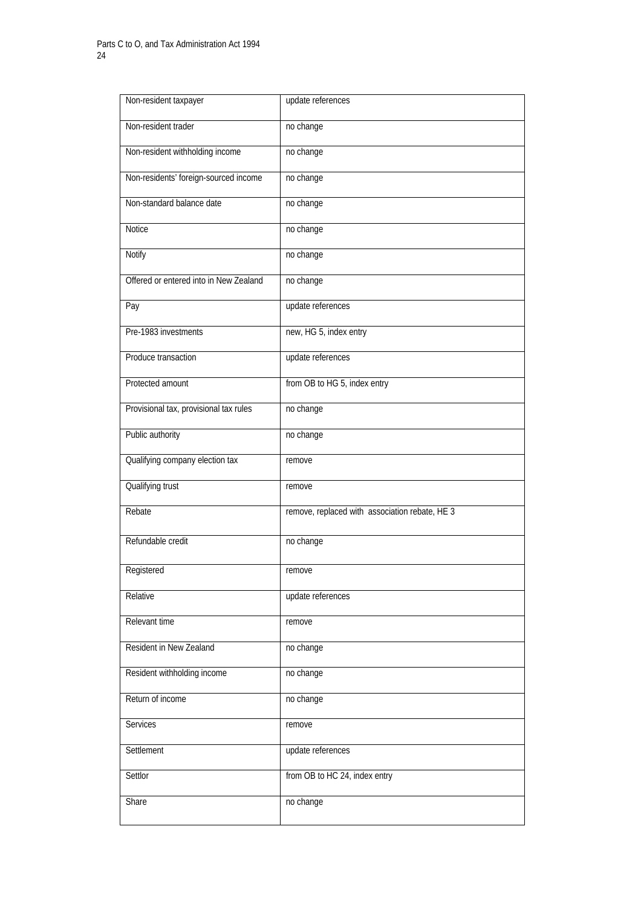| Non-resident taxpayer                  | update references                              |
|----------------------------------------|------------------------------------------------|
| Non-resident trader                    | no change                                      |
| Non-resident withholding income        | no change                                      |
| Non-residents' foreign-sourced income  | no change                                      |
| Non-standard balance date              | no change                                      |
| <b>Notice</b>                          | no change                                      |
| Notify                                 | no change                                      |
| Offered or entered into in New Zealand | no change                                      |
| Pay                                    | update references                              |
| Pre-1983 investments                   | new, HG 5, index entry                         |
| Produce transaction                    | update references                              |
| Protected amount                       | from OB to HG 5, index entry                   |
| Provisional tax, provisional tax rules | no change                                      |
| Public authority                       | no change                                      |
| Qualifying company election tax        | remove                                         |
| Qualifying trust                       | remove                                         |
| Rebate                                 | remove, replaced with association rebate, HE 3 |
| Refundable credit                      | no change                                      |
| Registered                             | remove                                         |
| Relative                               | update references                              |
| Relevant time                          | remove                                         |
| Resident in New Zealand                | no change                                      |
| Resident withholding income            | no change                                      |
| Return of income                       | no change                                      |
| Services                               | remove                                         |
| Settlement                             | update references                              |
| Settlor                                | from OB to HC 24, index entry                  |
| Share                                  | no change                                      |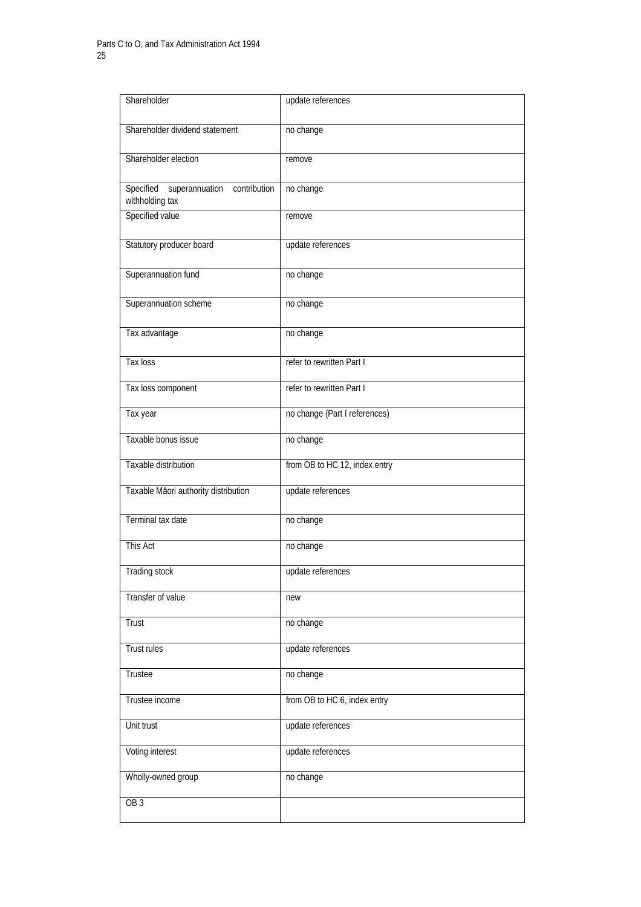| Shareholder                                                    | update references             |
|----------------------------------------------------------------|-------------------------------|
| Shareholder dividend statement                                 | no change                     |
| Shareholder election                                           | remove                        |
| Specified<br>superannuation<br>contribution<br>withholding tax | no change                     |
| Specified value                                                | remove                        |
| Statutory producer board                                       | update references             |
| Superannuation fund                                            | no change                     |
| Superannuation scheme                                          | no change                     |
| Tax advantage                                                  | no change                     |
| Tax loss                                                       | refer to rewritten Part I     |
| Tax loss component                                             | refer to rewritten Part I     |
| Tax year                                                       | no change (Part I references) |
| Taxable bonus issue                                            | no change                     |
| Taxable distribution                                           | from OB to HC 12, index entry |
| Taxable Māori authority distribution                           | update references             |
| Terminal tax date                                              | no change                     |
| This Act                                                       | no change                     |
| Trading stock                                                  | update references             |
| Transfer of value                                              | new                           |
| Trust                                                          | no change                     |
| <b>Trust rules</b>                                             | update references             |
| Trustee                                                        | no change                     |
| Trustee income                                                 | from OB to HC 6, index entry  |
| Unit trust                                                     | update references             |
| Voting interest                                                | update references             |
| Wholly-owned group                                             | no change                     |
| OB <sub>3</sub>                                                |                               |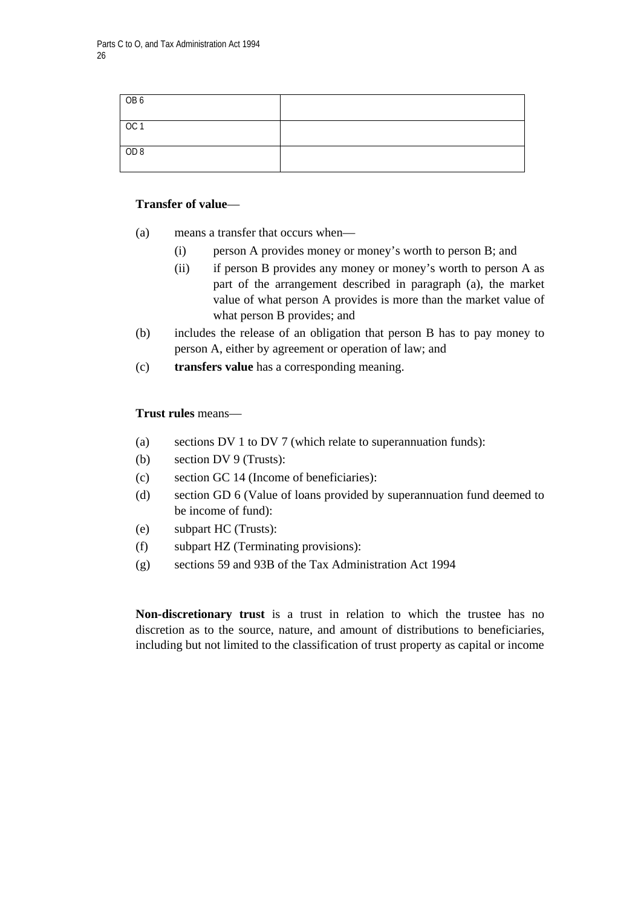| OB6             |  |
|-----------------|--|
| OC <sub>1</sub> |  |
| OD 8            |  |

# **Transfer of value**—

- (a) means a transfer that occurs when—
	- (i) person A provides money or money's worth to person B; and
	- (ii) if person B provides any money or money's worth to person A as part of the arrangement described in paragraph (a), the market value of what person A provides is more than the market value of what person B provides; and
- (b) includes the release of an obligation that person B has to pay money to person A, either by agreement or operation of law; and
- (c) **transfers value** has a corresponding meaning.

# **Trust rules** means—

- (a) sections DV 1 to DV 7 (which relate to superannuation funds):
- (b) section DV 9 (Trusts):
- (c) section GC 14 (Income of beneficiaries):
- (d) section GD 6 (Value of loans provided by superannuation fund deemed to be income of fund):
- (e) subpart HC (Trusts):
- (f) subpart HZ (Terminating provisions):
- (g) sections 59 and 93B of the Tax Administration Act 1994

**Non-discretionary trust** is a trust in relation to which the trustee has no discretion as to the source, nature, and amount of distributions to beneficiaries, including but not limited to the classification of trust property as capital or income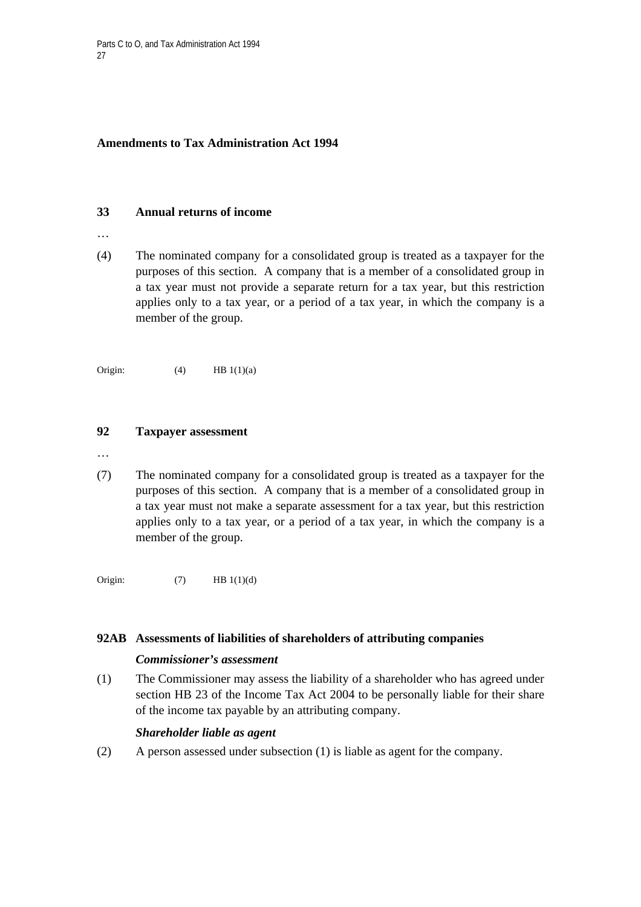# **Amendments to Tax Administration Act 1994**

## **33 Annual returns of income**

- …
- (4) The nominated company for a consolidated group is treated as a taxpayer for the purposes of this section. A company that is a member of a consolidated group in a tax year must not provide a separate return for a tax year, but this restriction applies only to a tax year, or a period of a tax year, in which the company is a member of the group.

Origin:  $(4)$  HB 1(1)(a)

# **92 Taxpayer assessment**

- …
- (7) The nominated company for a consolidated group is treated as a taxpayer for the purposes of this section. A company that is a member of a consolidated group in a tax year must not make a separate assessment for a tax year, but this restriction applies only to a tax year, or a period of a tax year, in which the company is a member of the group.

Origin:  $(7)$  HB 1(1)(d)

# **92AB Assessments of liabilities of shareholders of attributing companies**

# *Commissioner's assessment*

(1) The Commissioner may assess the liability of a shareholder who has agreed under section HB 23 of the Income Tax Act 2004 to be personally liable for their share of the income tax payable by an attributing company.

# *Shareholder liable as agent*

(2) A person assessed under subsection (1) is liable as agent for the company.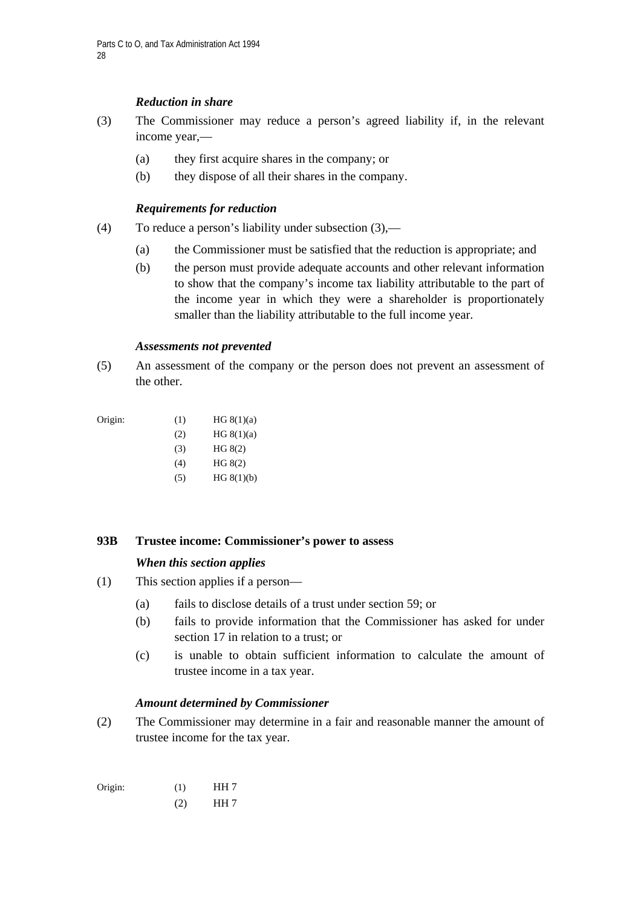# *Reduction in share*

- (3) The Commissioner may reduce a person's agreed liability if, in the relevant income year,—
	- (a) they first acquire shares in the company; or
	- (b) they dispose of all their shares in the company.

## *Requirements for reduction*

- (4) To reduce a person's liability under subsection (3),—
	- (a) the Commissioner must be satisfied that the reduction is appropriate; and
	- (b) the person must provide adequate accounts and other relevant information to show that the company's income tax liability attributable to the part of the income year in which they were a shareholder is proportionately smaller than the liability attributable to the full income year.

#### *Assessments not prevented*

(5) An assessment of the company or the person does not prevent an assessment of the other.

| Origin: | (1) | HG 8(1)(a) |
|---------|-----|------------|
|         |     |            |

- $HG (8(1)(a))$
- (3) HG 8(2)
- (4) HG 8(2)
- $HG 8(1)(b)$

# **93B Trustee income: Commissioner's power to assess**

#### *When this section applies*

- (1) This section applies if a person—
	- (a) fails to disclose details of a trust under section 59; or
	- (b) fails to provide information that the Commissioner has asked for under section 17 in relation to a trust; or
	- (c) is unable to obtain sufficient information to calculate the amount of trustee income in a tax year.

#### *Amount determined by Commissioner*

(2) The Commissioner may determine in a fair and reasonable manner the amount of trustee income for the tax year.

| Origin: | (1) | HH <sub>7</sub> |
|---------|-----|-----------------|
|         | (2) | HH <sub>7</sub> |